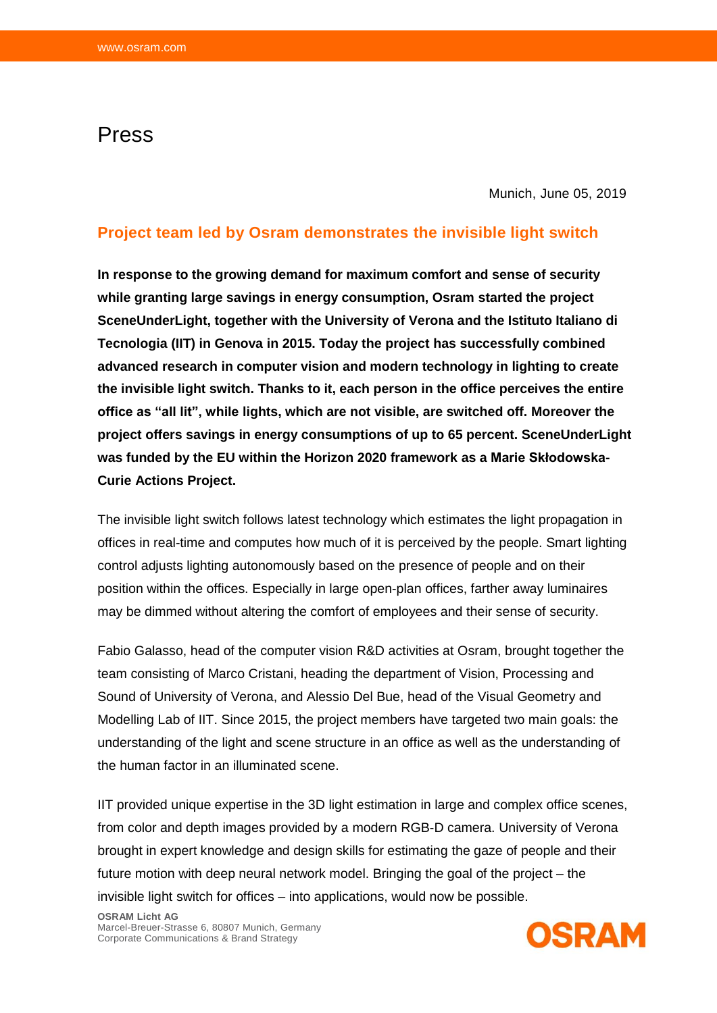## Press

Munich, June 05, 2019

## **Project team led by Osram demonstrates the invisible light switch**

**In response to the growing demand for maximum comfort and sense of security while granting large savings in energy consumption, Osram started the project SceneUnderLight, together with the University of Verona and the Istituto Italiano di Tecnologia (IIT) in Genova in 2015. Today the project has successfully combined advanced research in computer vision and modern technology in lighting to create the invisible light switch. Thanks to it, each person in the office perceives the entire office as "all lit", while lights, which are not visible, are switched off. Moreover the project offers savings in energy consumptions of up to 65 percent. SceneUnderLight was funded by the EU within the Horizon 2020 framework as a Marie Skłodowska-Curie Actions Project.**

The invisible light switch follows latest technology which estimates the light propagation in offices in real-time and computes how much of it is perceived by the people. Smart lighting control adjusts lighting autonomously based on the presence of people and on their position within the offices. Especially in large open-plan offices, farther away luminaires may be dimmed without altering the comfort of employees and their sense of security.

Fabio Galasso, head of the computer vision R&D activities at Osram, brought together the team consisting of Marco Cristani, heading the department of Vision, Processing and Sound of University of Verona, and Alessio Del Bue, head of the Visual Geometry and Modelling Lab of IIT. Since 2015, the project members have targeted two main goals: the understanding of the light and scene structure in an office as well as the understanding of the human factor in an illuminated scene.

IIT provided unique expertise in the 3D light estimation in large and complex office scenes, from color and depth images provided by a modern RGB-D camera. University of Verona brought in expert knowledge and design skills for estimating the gaze of people and their future motion with deep neural network model. Bringing the goal of the project – the invisible light switch for offices – into applications, would now be possible.